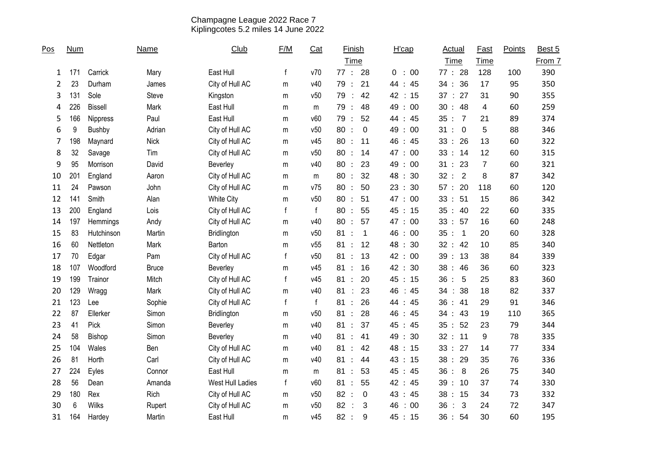## Champagne League 2022 Race 7 Kiplingcotes 5.2 miles 14 June 2022

| Pos | <b>Num</b> |                | <b>Name</b>  | Club              | F/M          | Cat          | <b>Finish</b>                             | H'cap                            | <b>Actual</b>                          | Fast                    | Points | Best 5 |
|-----|------------|----------------|--------------|-------------------|--------------|--------------|-------------------------------------------|----------------------------------|----------------------------------------|-------------------------|--------|--------|
|     |            |                |              |                   |              |              | Time                                      |                                  | Time                                   | Time                    |        | From 7 |
| 1   | 171        | Carrick        | Mary         | East Hull         | $\mathsf{f}$ | v70          | 77:<br>28                                 | 00<br>0<br>$\cdot$ :             | 77 : 28                                | 128                     | 100    | 390    |
| 2   | 23         | Durham         | James        | City of Hull AC   | m            | v40          | 21<br>79<br>$\ddot{\phantom{1}}$          | 44 :<br>45                       | 34:36                                  | 17                      | 95     | 350    |
| 3   | 131        | Sole           | Steve        | Kingston          | m            | v50          | 79<br>42<br>÷                             | 42 : 15                          | 37 : 27                                | 31                      | 90     | 355    |
| 4   | 226        | <b>Bissell</b> | Mark         | East Hull         | m            | m            | 48<br>79<br>$\ddot{\phantom{a}}$          | 49:00                            | 30 : 48                                | $\overline{\mathbf{4}}$ | 60     | 259    |
| 5   | 166        | Nippress       | Paul         | East Hull         | m            | v60          | 52<br>79<br>$\ddot{\phantom{a}}$          | 44<br>:45                        | 35 : 7                                 | 21                      | 89     | 374    |
| 6   | 9          | Bushby         | Adrian       | City of Hull AC   | m            | v50          | 80<br>$\mathbf 0$<br>$\ddot{\cdot}$       | 49:00                            | 31:0                                   | 5                       | 88     | 346    |
| 7   | 198        | Maynard        | <b>Nick</b>  | City of Hull AC   | m            | v45          | 80<br>11<br>$\cdot$                       | 46 : 45                          | 33 : 26                                | 13                      | 60     | 322    |
| 8   | 32         | Savage         | Tim          | City of Hull AC   | m            | v50          | 80:<br>14                                 | 47:<br>00                        | 33 : 14                                | 12                      | 60     | 315    |
| 9   | 95         | Morrison       | David        | Beverley          | m            | v40          | 80<br>23<br>$\ddot{\cdot}$                | 49<br>00<br>$\ddot{\cdot}$       | 23<br>31:                              | $\overline{7}$          | 60     | 321    |
| 10  | 201        | England        | Aaron        | City of Hull AC   | m            | m            | 80<br>32<br>$\ddot{\phantom{a}}$          | 48 : 30                          | 32 : 2                                 | 8                       | 87     | 342    |
| 11  | 24         | Pawson         | John         | City of Hull AC   | m            | v75          | 80<br>50                                  | 23:30                            | 57 : 20                                | 118                     | 60     | 120    |
| 12  | 141        | Smith          | Alan         | <b>White City</b> | m            | v50          | 80:<br>51                                 | 47:<br>00                        | 33 : 51                                | 15                      | 86     | 342    |
| 13  | 200        | England        | Lois         | City of Hull AC   | f            | $\mathsf{f}$ | 55<br>80<br>$\ddot{\phantom{a}}$          | 45 : 15                          | 35 : 40                                | 22                      | 60     | 335    |
| 14  | 197        | Hemmings       | Andy         | City of Hull AC   | m            | v40          | 57<br>80<br>$\ddot{\phantom{a}}$          | 47:<br>00                        | 33 : 57                                | 16                      | 60     | 248    |
| 15  | 83         | Hutchinson     | Martin       | Bridlington       | m            | v50          | 81<br>$\mathbf 1$                         | 46<br>00<br>$\ddot{\phantom{a}}$ | 35 : 1                                 | 20                      | 60     | 328    |
| 16  | 60         | Nettleton      | Mark         | Barton            | m            | v55          | 81<br>12                                  | 48<br>30<br>$\ddot{\cdot}$       | 32 : 42                                | 10                      | 85     | 340    |
| 17  | 70         | Edgar          | Pam          | City of Hull AC   | $\mathsf{f}$ | v50          | 81<br>13<br>$\ddot{\cdot}$                | 42<br>00<br>$\ddot{\cdot}$       | 39:13                                  | 38                      | 84     | 339    |
| 18  | 107        | Woodford       | <b>Bruce</b> | Beverley          | m            | v45          | 16<br>81<br>$\cdot$                       | 42 : 30                          | 38:46                                  | 36                      | 60     | 323    |
| 19  | 199        | Trainor        | Mitch        | City of Hull AC   | f            | v45          | 20<br>81                                  | 45 : 15                          | 36:<br>5                               | 25                      | 83     | 360    |
| 20  | 129        | Wragg          | Mark         | City of Hull AC   | m            | v40          | 81<br>23                                  | 46<br>$\therefore 45$            | : 38<br>34                             | 18                      | 82     | 337    |
| 21  | 123        | Lee            | Sophie       | City of Hull AC   | $\mathsf{f}$ | $\mathsf{f}$ | 26<br>81<br>$\ddot{\cdot}$                | 44<br>45<br>$\ddot{\cdot}$       | 36:41                                  | 29                      | 91     | 346    |
| 22  | 87         | Ellerker       | Simon        | Bridlington       | m            | v50          | 81<br>28<br>$\cdot$                       | 46<br>45<br>$\ddot{\cdot}$       | 34 : 43                                | 19                      | 110    | 365    |
| 23  | 41         | Pick           | Simon        | Beverley          | m            | v40          | 81<br>37                                  | 45<br>45<br>$\ddot{\cdot}$       | 35 : 52                                | 23                      | 79     | 344    |
| 24  | 58         | Bishop         | Simon        | Beverley          | m            | v40          | 81<br>41                                  | 49<br>30<br>$\ddot{\phantom{a}}$ | 32 : 11                                | 9                       | 78     | 335    |
| 25  | 104        | Wales          | Ben          | City of Hull AC   | m            | v40          | 81<br>42<br>$\cdot$                       | 48<br>: 15                       | 33 : 27                                | 14                      | 77     | 334    |
| 26  | 81         | Horth          | Carl         | City of Hull AC   | m            | v40          | 81<br>44                                  | 43 : 15                          | 38:29                                  | 35                      | 76     | 336    |
| 27  | 224        | Eyles          | Connor       | East Hull         | m            | m            | 81<br>53                                  | 45 : 45                          | 36:8                                   | 26                      | 75     | 340    |
| 28  | 56         | Dean           | Amanda       | West Hull Ladies  | $\mathsf{f}$ | v60          | 81<br>55<br>$\ddot{\cdot}$                | 42 : 45                          | 39:10                                  | 37                      | 74     | 330    |
| 29  | 180        | Rex            | Rich         | City of Hull AC   | m            | v50          | 82<br>$\mathbf 0$<br>$\ddot{\phantom{a}}$ | 43 : 45                          | 38:15                                  | 34                      | 73     | 332    |
| 30  | 6          | <b>Wilks</b>   | Rupert       | City of Hull AC   | m            | v50          | 82<br>3<br>÷                              | 46<br>: 00                       | 36<br>3<br>$\mathcal{L}_{\mathcal{A}}$ | 24                      | 72     | 347    |
| 31  | 164        | Hardey         | Martin       | East Hull         | m            | v45          | 82:<br>9                                  | 45 : 15                          | 36:54                                  | 30                      | 60     | 195    |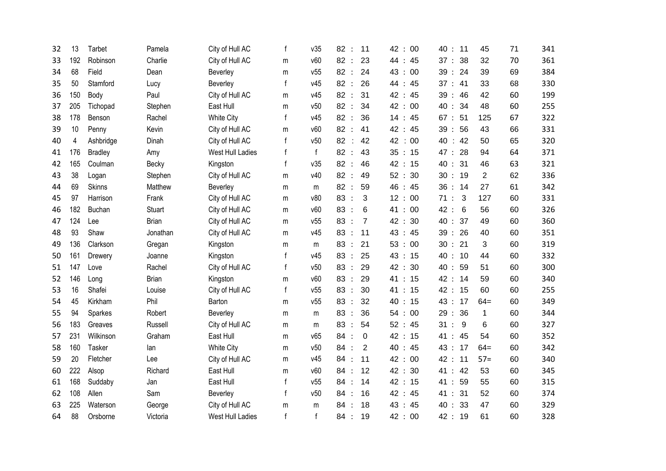| 32 | 13  | <b>Tarbet</b>  | Pamela       | City of Hull AC   | f            | v35          | 82<br>$\cdot$ :             | 11             | 42<br>00<br>$\ddot{\cdot}$       | 40:11                |    | 45             | 71 | 341 |
|----|-----|----------------|--------------|-------------------|--------------|--------------|-----------------------------|----------------|----------------------------------|----------------------|----|----------------|----|-----|
| 33 | 192 | Robinson       | Charlie      | City of Hull AC   | m            | v60          | 82:                         | 23             | 44<br>45<br>$\therefore$         | 37 : 38              |    | 32             | 70 | 361 |
| 34 | 68  | Field          | Dean         | Beverley          | m            | v55          | 82:                         | 24             | 43<br>00<br>$\ddot{\phantom{a}}$ | 39 : 24              |    | 39             | 69 | 384 |
| 35 | 50  | Stamford       | Lucy         | Beverley          | f            | v45          | 82<br>$\ddot{\cdot}$        | 26             | 44<br>45<br>$\ddot{\phantom{a}}$ | 37 : 41              |    | 33             | 68 | 330 |
| 36 | 150 | Body           | Paul         | City of Hull AC   | m            | v45          | 82<br>$\cdot$ :             | 31             | 42<br>$\therefore$ 45            | 39:46                |    | 42             | 60 | 199 |
| 37 | 205 | Tichopad       | Stephen      | East Hull         | m            | v50          | 82:                         | 34             | 42:<br>00                        | 40:                  | 34 | 48             | 60 | 255 |
| 38 | 178 | Benson         | Rachel       | <b>White City</b> | $\mathsf{f}$ | v45          | 82<br>$\ddot{\phantom{1}}$  | 36             | 14:45                            | 67:                  | 51 | 125            | 67 | 322 |
| 39 | 10  | Penny          | Kevin        | City of Hull AC   | m            | v60          | 82:                         | 41             | 42 : 45                          | 39:56                |    | 43             | 66 | 331 |
| 40 | 4   | Ashbridge      | Dinah        | City of Hull AC   | f            | v50          | 82                          | 42             | 42<br>00<br>÷                    | 40 : 42              |    | 50             | 65 | 320 |
| 41 | 176 | <b>Bradley</b> | Amy          | West Hull Ladies  | f            | $\mathsf{f}$ | 82:                         | 43             | 35<br>: 15                       | 47 : 28              |    | 94             | 64 | 371 |
| 42 | 165 | Coulman        | Becky        | Kingston          | f            | v35          | 82<br>$\cdot$               | 46             | 42<br>: 15                       | 40 : 31              |    | 46             | 63 | 321 |
| 43 | 38  | Logan          | Stephen      | City of Hull AC   | m            | v40          | 82<br>$\cdot$ :             | 49             | 52 : 30                          | 30 : 19              |    | $\overline{2}$ | 62 | 336 |
| 44 | 69  | <b>Skinns</b>  | Matthew      | Beverley          | m            | m            | 82<br>$\ddot{\cdot}$        | 59             | 46<br>:45                        | 36:14                |    | 27             | 61 | 342 |
| 45 | 97  | Harrison       | Frank        | City of Hull AC   | m            | v80          | 83<br>$\ddot{\cdot}$        | 3              | 12<br>: 00                       | 71:                  | 3  | 127            | 60 | 331 |
| 46 | 182 | <b>Buchan</b>  | Stuart       | City of Hull AC   | m            | v60          | 83<br>$\cdot$               | 6              | 00<br>41:                        | 42:                  | 6  | 56             | 60 | 326 |
| 47 | 124 | Lee            | <b>Brian</b> | City of Hull AC   | m            | v55          | 83                          | $\overline{7}$ | 42<br>: 30                       | 40: 37               |    | 49             | 60 | 360 |
| 48 | 93  | Shaw           | Jonathan     | City of Hull AC   | m            | v45          | 83                          | 11             | 43<br>45<br>$\therefore$         | 39:26                |    | 40             | 60 | 351 |
| 49 | 136 | Clarkson       | Gregan       | Kingston          | m            | m            | 83<br>$\ddot{\phantom{a}}$  | 21             | 53<br>00<br>$\ddot{\phantom{a}}$ | 30 : 21              |    | 3              | 60 | 319 |
| 50 | 161 | Drewery        | Joanne       | Kingston          | f            | v45          | 83<br>$\ddot{\phantom{1}}$  | 25             | 43<br>$\therefore$ 15            | 40: 10               |    | 44             | 60 | 332 |
| 51 | 147 | Love           | Rachel       | City of Hull AC   | f            | v50          | 83<br>$\ddot{\cdot}$        | 29             | 42:<br>30                        | 40:                  | 59 | 51             | 60 | 300 |
| 52 | 146 | Long           | <b>Brian</b> | Kingston          | m            | v60          | 83 :                        | 29             | 41:15                            | 42:                  | 14 | 59             | 60 | 340 |
| 53 | 16  | Shafei         | Louise       | City of Hull AC   | $\mathsf{f}$ | v55          | 83<br>$\dddot{\phantom{0}}$ | 30             | 41 : 15                          | 42:                  | 15 | 60             | 60 | 255 |
| 54 | 45  | Kirkham        | Phil         | Barton            | m            | v55          | 83<br>$\ddot{\phantom{1}}$  | 32             | 40:15                            | 43 : 17              |    | $64=$          | 60 | 349 |
| 55 | 94  | Sparkes        | Robert       | Beverley          | m            | m            | 83                          | 36             | 54:<br>00                        | 29:36                |    | $\mathbf{1}$   | 60 | 344 |
| 56 | 183 | Greaves        | Russell      | City of Hull AC   | m            | m            | 83<br>$\ddot{\phantom{a}}$  | 54             | 52 : 45                          | 31:                  | 9  | 6              | 60 | 327 |
| 57 | 231 | Wilkinson      | Graham       | East Hull         | m            | v65          | 84<br>$\ddot{\phantom{a}}$  | 0              | 42<br>$\therefore$ 15            | 41<br>$\ddot{\cdot}$ | 45 | 54             | 60 | 352 |
| 58 | 160 | Tasker         | lan          | <b>White City</b> | m            | v50          | 84                          | $\overline{2}$ | 40<br>$\therefore$ 45            | 43 :                 | 17 | $64=$          | 60 | 342 |
| 59 | 20  | Fletcher       | Lee          | City of Hull AC   | m            | v45          | 84                          | 11             | 42:<br>00                        | 42:                  | 11 | $57 =$         | 60 | 340 |
| 60 | 222 | Alsop          | Richard      | East Hull         | m            | v60          | 84                          | 12             | 42<br>30<br>$\therefore$         | 41:                  | 42 | 53             | 60 | 345 |
| 61 | 168 | Suddaby        | Jan          | East Hull         | f            | v55          | 84<br>$\ddot{\phantom{a}}$  | 14             | 42 : 15                          | 41:                  | 59 | 55             | 60 | 315 |
| 62 | 108 | Allen          | Sam          | Beverley          | f            | v50          | 84                          | 16             | 42:<br>45                        | 41 : 31              |    | 52             | 60 | 374 |
| 63 | 225 | Waterson       | George       | City of Hull AC   | m            | m            | 84                          | 18             | 43<br>45<br>$\ddot{\phantom{a}}$ | 40:33                |    | 47             | 60 | 329 |
| 64 | 88  | Orsborne       | Victoria     | West Hull Ladies  | f            | f            | 84<br>$\ddot{\phantom{a}}$  | 19             | 42 : 00                          | 42 : 19              |    | 61             | 60 | 328 |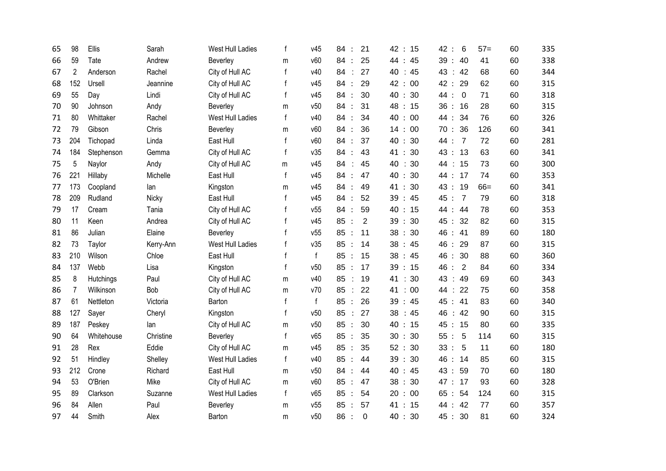| 65 | 98             | Ellis      | Sarah     | West Hull Ladies | f            | v45          | 21<br>84<br>$\ddot{\cdot}$       | 42<br>15<br>$\ddot{\cdot}$         | $6\phantom{1}6$<br>42<br>$\cdot$ :      | $57=$ | 335<br>60 |
|----|----------------|------------|-----------|------------------|--------------|--------------|----------------------------------|------------------------------------|-----------------------------------------|-------|-----------|
| 66 | 59             | Tate       | Andrew    | Beverley         | m            | v60          | 25<br>84                         | 44<br>45<br>$\ddot{\cdot}$         | 39:40                                   | 41    | 338<br>60 |
| 67 | $\overline{2}$ | Anderson   | Rachel    | City of Hull AC  | f            | v40          | 84<br>27                         | 40<br>45<br>÷                      | 43 : 42                                 | 68    | 344<br>60 |
| 68 | 152            | Ursell     | Jeannine  | City of Hull AC  | f            | v45          | 29<br>84<br>$\ddot{\phantom{a}}$ | 42<br>00<br>$\ddot{\cdot}$         | 42:<br>29                               | 62    | 60<br>315 |
| 69 | 55             | Day        | Lindi     | City of Hull AC  | f            | v45          | 84<br>30<br>$\ddot{\cdot}$       | 40<br>- 30<br>$\ddot{\phantom{a}}$ | 44 :<br>$\overline{0}$                  | 71    | 60<br>318 |
| 70 | 90             | Johnson    | Andy      | Beverley         | m            | v50          | 31<br>84<br>$\ddot{\phantom{a}}$ | 48<br>: 15                         | 36:16                                   | 28    | 315<br>60 |
| 71 | 80             | Whittaker  | Rachel    | West Hull Ladies | $\mathsf{f}$ | v40          | 34<br>84<br>$\ddot{\phantom{a}}$ | 40<br>00<br>$\ddot{\cdot}$         | 44:<br>34                               | 76    | 326<br>60 |
| 72 | 79             | Gibson     | Chris     | Beverley         | m            | v60          | 84<br>36<br>$\ddot{\cdot}$       | 14<br>: 00                         | 70:36                                   | 126   | 341<br>60 |
| 73 | 204            | Tichopad   | Linda     | East Hull        | f            | v60          | 84<br>37                         | 40<br>30<br>$\ddot{\cdot}$         | 44 :<br>$\overline{7}$                  | 72    | 60<br>281 |
| 74 | 184            | Stephenson | Gemma     | City of Hull AC  | f            | v35          | 84<br>43<br>$\ddot{\cdot}$       | 41:<br>30                          | 43 : 13                                 | 63    | 341<br>60 |
| 75 | 5              | Naylor     | Andy      | City of Hull AC  | m            | v45          | 84<br>45                         | 40<br>30                           | : 15<br>44                              | 73    | 300<br>60 |
| 76 | 221            | Hillaby    | Michelle  | East Hull        | $\mathsf f$  | v45          | 47<br>84<br>$\ddot{\cdot}$       | 40<br>: 30                         | 44 : 17                                 | 74    | 353<br>60 |
| 77 | 173            | Coopland   | lan       | Kingston         | m            | v45          | 84<br>49                         | 41:<br>30                          | 43 : 19                                 | $66=$ | 341<br>60 |
| 78 | 209            | Rudland    | Nicky     | East Hull        | $\mathbf f$  | v45          | 84<br>52<br>$\ddot{\phantom{1}}$ | 39<br>45<br>$\mathbf{r}$           | 45:<br>$\overline{7}$                   | 79    | 318<br>60 |
| 79 | 17             | Cream      | Tania     | City of Hull AC  | f            | v55          | 59<br>84<br>$\ddot{\cdot}$       | 40<br>: 15                         | 44 : 44                                 | 78    | 60<br>353 |
| 80 | 11             | Keen       | Andrea    | City of Hull AC  | f            | v45          | 85<br>$\overline{2}$<br>$\cdot$  | 39<br>: 30                         | 45 : 32                                 | 82    | 60<br>315 |
| 81 | 86             | Julian     | Elaine    | Beverley         | f            | v55          | 85<br>11<br>$\ddot{\cdot}$       | 38<br>30<br>$\therefore$           | 46 : 41                                 | 89    | 180<br>60 |
| 82 | 73             | Taylor     | Kerry-Ann | West Hull Ladies | f            | v35          | 85<br>14<br>$\ddot{\phantom{a}}$ | 38<br>$\therefore$ 45              | 46<br>29<br>$\ddot{\phantom{a}}$        | 87    | 315<br>60 |
| 83 | 210            | Wilson     | Chloe     | East Hull        | f            | $\mathsf{f}$ | 85<br>15<br>$\cdot$ :            | 38<br>:45                          | 46 : 30                                 | 88    | 360<br>60 |
| 84 | 137            | Webb       | Lisa      | Kingston         | f            | v50          | 85<br>17<br>$\cdot$ :            | 39:15                              | $\overline{2}$<br>46 :                  | 84    | 60<br>334 |
| 85 | 8              | Hutchings  | Paul      | City of Hull AC  | m            | v40          | 85<br>19<br>$\cdot$ :            | 41 : 30                            | 43<br>$\therefore$ 49                   | 69    | 343<br>60 |
| 86 | 7              | Wilkinson  | Bob       | City of Hull AC  | ${\sf m}$    | v70          | 85<br>22<br>÷                    | 41<br>00<br>÷                      | 22<br>44<br>$\mathcal{L}^{\mathcal{A}}$ | 75    | 358<br>60 |
| 87 | 61             | Nettleton  | Victoria  | Barton           | f            | $\mathsf{f}$ | 85<br>26<br>$\ddot{\cdot}$       | 39<br>$\therefore$ 45              | 45 : 41                                 | 83    | 60<br>340 |
| 88 | 127            | Sayer      | Cheryl    | Kingston         | f            | v50          | 27<br>85                         | 38<br>:45                          | 46<br>$\therefore$ 42                   | 90    | 315<br>60 |
| 89 | 187            | Peskey     | lan       | City of Hull AC  | m            | v50          | 85<br>30<br>$\ddot{\phantom{a}}$ | 40<br>: 15                         | 45 : 15                                 | 80    | 335<br>60 |
| 90 | 64             | Whitehouse | Christine | Beverley         | f            | v65          | 85<br>35<br>$\ddot{\phantom{a}}$ | 30<br>30<br>$\ddot{\cdot}$         | 55:<br>5                                | 114   | 315<br>60 |
| 91 | 28             | Rex        | Eddie     | City of Hull AC  | m            | v45          | 85<br>35<br>$\ddot{\phantom{a}}$ | 52 : 30                            | 33:<br>5                                | 11    | 60<br>180 |
| 92 | 51             | Hindley    | Shelley   | West Hull Ladies | f            | v40          | 85<br>44<br>$\ddot{\cdot}$       | 39:<br>30                          | 46 : 14                                 | 85    | 60<br>315 |
| 93 | 212            | Crone      | Richard   | East Hull        | m            | v50          | 84<br>44                         | 40<br>:45                          | 43 :<br>59                              | 70    | 180<br>60 |
| 94 | 53             | O'Brien    | Mike      | City of Hull AC  | m            | v60          | 85<br>47<br>$\ddot{\cdot}$       | 38<br>30<br>$\ddot{\phantom{a}}$   | 47 : 17                                 | 93    | 328<br>60 |
| 95 | 89             | Clarkson   | Suzanne   | West Hull Ladies | $\mathsf{f}$ | v65          | 85<br>54<br>$\ddot{\cdot}$       | : 00<br>20                         | 65 : 54                                 | 124   | 315<br>60 |
| 96 | 84             | Allen      | Paul      | Beverley         | m            | v55          | 85<br>57<br>$\ddot{\phantom{a}}$ | 41 : 15                            | 44 : 42                                 | 77    | 357<br>60 |
| 97 | 44             | Smith      | Alex      | Barton           | m            | v50          | 86:<br>$\mathbf 0$               | 40:<br>30                          | 45 : 30                                 | 81    | 60<br>324 |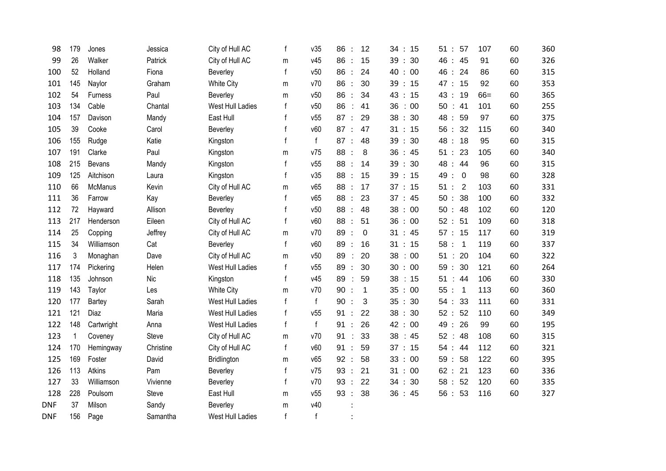| 98         | 179          | Jones         | Jessica    | City of Hull AC   | f            | v35          | 86<br>12<br>$\ddot{\phantom{a}}$ | 34:15   | 57<br>51:                        | 107   | 60 | 360 |
|------------|--------------|---------------|------------|-------------------|--------------|--------------|----------------------------------|---------|----------------------------------|-------|----|-----|
| 99         | 26           | Walker        | Patrick    | City of Hull AC   | m            | v45          | 86<br>15<br>$\ddot{\phantom{a}}$ | 39 : 30 | 46:<br>45                        | 91    | 60 | 326 |
| 100        | 52           | Holland       | Fiona      | Beverley          | $\mathsf{f}$ | v50          | 86<br>24<br>$\ddot{\phantom{a}}$ | 40:00   | 46:<br>24                        | 86    | 60 | 315 |
| 101        | 145          | Naylor        | Graham     | <b>White City</b> | m            | v70          | 86<br>30<br>$\ddot{\phantom{a}}$ | 39:15   | 47:<br>15                        | 92    | 60 | 353 |
| 102        | 54           | Furness       | Paul       | Beverley          | m            | v50          | 86<br>34<br>$\ddot{\cdot}$       | 43 : 15 | 43 :<br>19                       | $66=$ | 60 | 365 |
| 103        | 134          | Cable         | Chantal    | West Hull Ladies  | f            | v50          | 86<br>41<br>÷                    | 36:00   | 50 : 41                          | 101   | 60 | 255 |
| 104        | 157          | Davison       | Mandy      | East Hull         | $\mathsf{f}$ | v55          | 87:<br>29                        | 38:30   | 48 :<br>59                       | 97    | 60 | 375 |
| 105        | 39           | Cooke         | Carol      | Beverley          |              | v60          | 87:<br>47                        | 31 : 15 | 56:<br>32                        | 115   | 60 | 340 |
| 106        | 155          | Rudge         | Katie      | Kingston          | f            | $\mathsf{f}$ | 87:<br>48                        | 39:30   | 48:<br>18                        | 95    | 60 | 315 |
| 107        | 191          | Clarke        | Paul       | Kingston          | m            | v75          | 88<br>8<br>$\ddot{\phantom{a}}$  | 36:45   | 51:<br>23                        | 105   | 60 | 340 |
| 108        | 215          | Bevans        | Mandy      | Kingston          | $\mathsf{f}$ | v55          | 88:<br>14                        | 39:30   | 48 :<br>44                       | 96    | 60 | 315 |
| 109        | 125          | Aitchison     | Laura      | Kingston          | $\mathsf{f}$ | v35          | 88<br>15<br>$\ddot{\phantom{a}}$ | 39:15   | 49 :<br>$\overline{\phantom{0}}$ | 98    | 60 | 328 |
| 110        | 66           | McManus       | Kevin      | City of Hull AC   | m            | v65          | 88<br>17<br>$\ddot{\cdot}$       | 37 : 15 | 51:<br>$\overline{2}$            | 103   | 60 | 331 |
| 111        | 36           | Farrow        | Kay        | Beverley          | $\mathsf{f}$ | v65          | 88<br>23<br>$\ddot{\phantom{a}}$ | 37 : 45 | 50:<br>38                        | 100   | 60 | 332 |
| 112        | 72           | Hayward       | Allison    | Beverley          | $\mathsf{f}$ | v50          | 88:<br>48                        | 38:00   | 50 : 48                          | 102   | 60 | 120 |
| 113        | 217          | Henderson     | Eileen     | City of Hull AC   | f            | v60          | 88<br>51<br>$\ddot{\phantom{a}}$ | 36:00   | 52:<br>51                        | 109   | 60 | 318 |
| 114        | 25           | Copping       | Jeffrey    | City of Hull AC   | m            | v70          | 89 :<br>$\mathbf 0$              | 31 : 45 | 57 : 15                          | 117   | 60 | 319 |
| 115        | 34           | Williamson    | Cat        | Beverley          | $\mathsf{f}$ | v60          | 89 :<br>16                       | 31 : 15 | 58:<br>$\overline{1}$            | 119   | 60 | 337 |
| 116        | 3            | Monaghan      | Dave       | City of Hull AC   | m            | v50          | 89<br>20<br>÷                    | 38:00   | 51:<br>20                        | 104   | 60 | 322 |
| 117        | 174          | Pickering     | Helen      | West Hull Ladies  | f            | v55          | 89<br>30<br>$\cdot$              | 30 : 00 | 30<br>59:                        | 121   | 60 | 264 |
| 118        | 135          | Johnson       | <b>Nic</b> | Kingston          | $\mathsf{f}$ | v45          | 89<br>59<br>÷                    | 38:15   | 51:<br>44                        | 106   | 60 | 330 |
| 119        | 143          | Taylor        | Les        | <b>White City</b> | m            | v70          | 90:<br>$\mathbf{1}$              | 35:00   | 55:1                             | 113   | 60 | 360 |
| 120        | 177          | Bartey        | Sarah      | West Hull Ladies  | $\mathsf{f}$ | $\mathsf{f}$ | 90<br>3<br>$\ddot{\phantom{a}}$  | 35 : 30 | 54 : 33                          | 111   | 60 | 331 |
| 121        | 121          | Diaz          | Maria      | West Hull Ladies  | $\mathsf{f}$ | v55          | 91<br>22<br>$\ddot{\cdot}$       | 38:30   | 52 : 52                          | 110   | 60 | 349 |
| 122        | 148          | Cartwright    | Anna       | West Hull Ladies  | $\mathsf{f}$ | $\mathsf{f}$ | 91<br>26<br>$\ddot{\cdot}$       | 42 : 00 | 49 :<br>26                       | 99    | 60 | 195 |
| 123        | $\mathbf{1}$ | Coveney       | Steve      | City of Hull AC   | m            | v70          | 91<br>33<br>÷                    | 38 : 45 | 52:<br>48                        | 108   | 60 | 315 |
| 124        | 170          | Hemingway     | Christine  | City of Hull AC   | $\mathsf{f}$ | v60          | 91<br>59<br>$\ddot{\cdot}$       | 37 : 15 | 54:<br>44                        | 112   | 60 | 321 |
| 125        | 169          | Foster        | David      | Bridlington       | m            | v65          | 92:<br>58                        | 33:00   | 59:<br>58                        | 122   | 60 | 395 |
| 126        | 113          | <b>Atkins</b> | Pam        | Beverley          | $\mathsf{f}$ | v75          | 93<br>21<br>$\ddot{\cdot}$       | 31 : 00 | 62:<br>21                        | 123   | 60 | 336 |
| 127        | 33           | Williamson    | Vivienne   | Beverley          | $\mathsf{f}$ | v70          | 93<br>$\ddot{\phantom{a}}$<br>22 | 34 : 30 | 52<br>58:                        | 120   | 60 | 335 |
| 128        | 228          | Poulsom       | Steve      | East Hull         | m            | v55          | 38<br>93<br>$\ddot{\cdot}$       | 36:45   | 56:53                            | 116   | 60 | 327 |
| <b>DNF</b> | 37           | Milson        | Sandy      | Beverley          | m            | v40          |                                  |         |                                  |       |    |     |
| <b>DNF</b> | 156          | Page          | Samantha   | West Hull Ladies  | f            | $\mathsf{f}$ |                                  |         |                                  |       |    |     |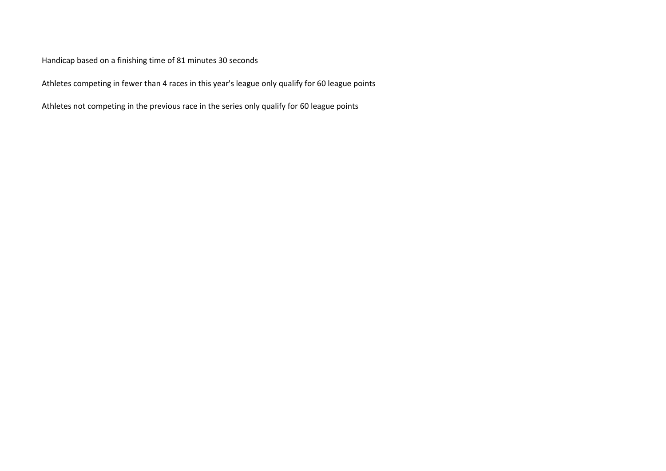Handicap based on a finishing time of 81 minutes 30 seconds

Athletes competing in fewer than 4 races in this year's league only qualify for 60 league points

Athletes not competing in the previous race in the series only qualify for 60 league points